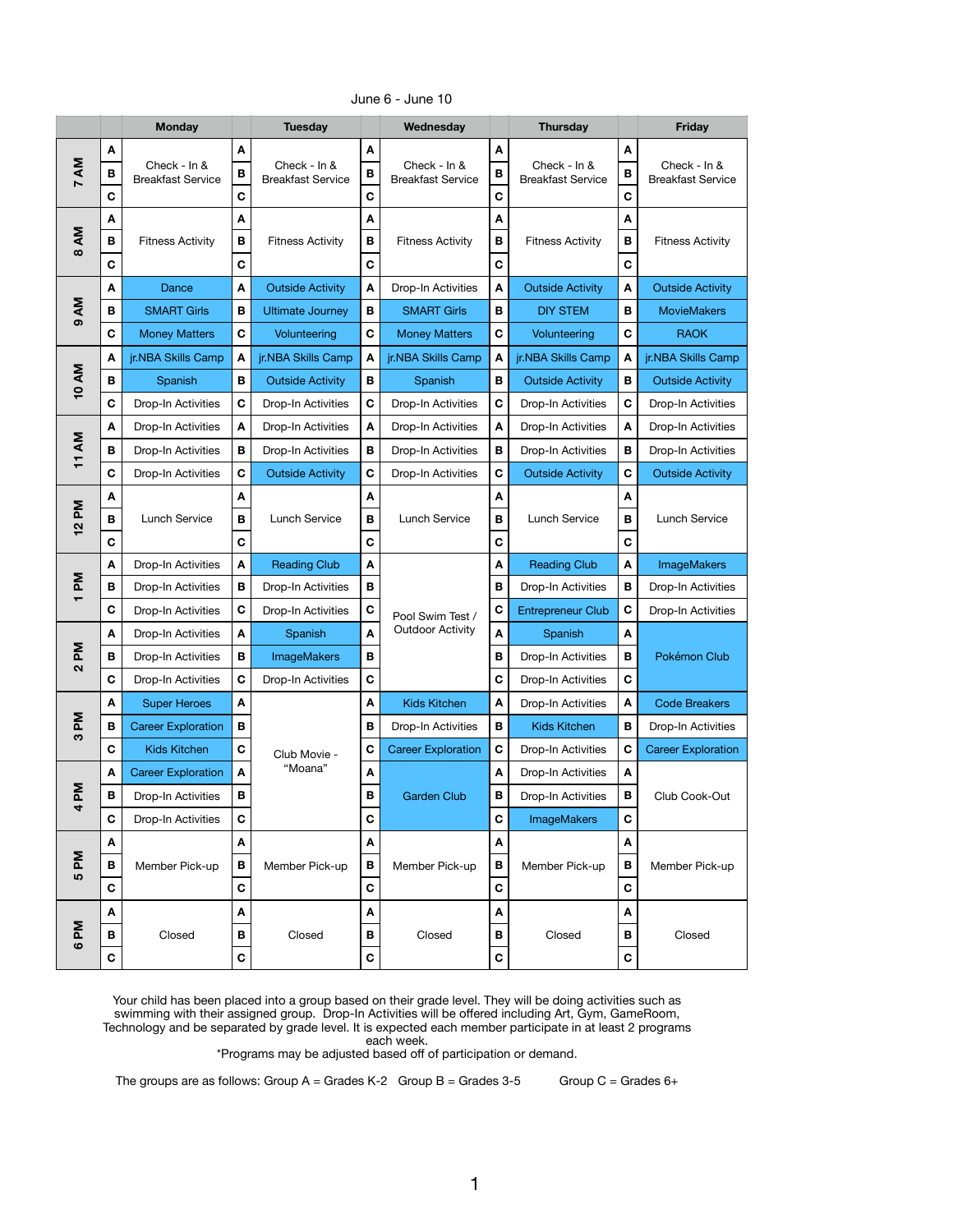|                                                         |                       | <b>Monday</b>                            |                       | <b>Tuesday</b>                           |                                                                 | Wednesday                                |                                  | <b>Thursday</b>                          |                                  | <b>Friday</b>                            |
|---------------------------------------------------------|-----------------------|------------------------------------------|-----------------------|------------------------------------------|-----------------------------------------------------------------|------------------------------------------|----------------------------------|------------------------------------------|----------------------------------|------------------------------------------|
| ΔM<br>$\blacktriangleright$                             | A<br>B<br>$\mathbf C$ | Check - In &<br><b>Breakfast Service</b> | A<br>В<br>$\mathbf C$ | Check - In &<br><b>Breakfast Service</b> | A<br>В<br>$\mathbf C$                                           | Check - In &<br><b>Breakfast Service</b> | A<br>В<br>$\mathbf C$            | Check - In &<br><b>Breakfast Service</b> | A<br>В<br>C                      | Check - In &<br><b>Breakfast Service</b> |
| ΔM<br>$\infty$                                          | A<br>В<br>$\mathbf C$ | <b>Fitness Activity</b>                  | A<br>В<br>$\mathbf C$ | <b>Fitness Activity</b>                  | A<br>B<br>$\mathbf C$                                           | <b>Fitness Activity</b>                  | A<br>B<br>$\mathbf C$            | <b>Fitness Activity</b>                  | A<br>$\, {\bf B}$<br>$\mathbf C$ | <b>Fitness Activity</b>                  |
|                                                         | A                     | <b>Dance</b>                             | A                     | <b>Outside Activity</b>                  | A                                                               | Drop-In Activities                       | A                                | <b>Outside Activity</b>                  | $\boldsymbol{\mathsf{A}}$        | <b>Outside Activity</b>                  |
| ΔM                                                      | B                     | <b>SMART Girls</b>                       | B                     | <b>Ultimate Journey</b>                  | В                                                               | <b>SMART Girls</b>                       | B                                | <b>DIY STEM</b>                          | В                                | <b>MovieMakers</b>                       |
| ග                                                       | $\mathbf C$           | <b>Money Matters</b>                     | $\mathbf C$           | Volunteering                             | C                                                               | <b>Money Matters</b>                     | $\mathbf C$                      | Volunteering                             | $\mathbf C$                      | <b>RAOK</b>                              |
|                                                         | A                     | jr.NBA Skills Camp                       | A                     | jr.NBA Skills Camp                       | A                                                               | jr.NBA Skills Camp                       | A                                | jr.NBA Skills Camp                       | A                                | jr.NBA Skills Camp                       |
| <b>10 AM</b>                                            | B                     | Spanish                                  | В                     | <b>Outside Activity</b>                  | В                                                               | Spanish                                  | B                                | <b>Outside Activity</b>                  | B                                | <b>Outside Activity</b>                  |
|                                                         | C                     | Drop-In Activities                       | C                     | Drop-In Activities                       | $\mathbf c$                                                     | Drop-In Activities                       | $\mathbf c$                      | Drop-In Activities                       | $\mathbf C$                      | Drop-In Activities                       |
|                                                         | A                     | Drop-In Activities                       | A                     | Drop-In Activities                       | A                                                               | Drop-In Activities                       | A                                | Drop-In Activities                       | A                                | Drop-In Activities                       |
| 11 AM                                                   | B                     | Drop-In Activities                       | В                     | Drop-In Activities                       | В                                                               | Drop-In Activities                       | В                                | Drop-In Activities                       | В                                | Drop-In Activities                       |
|                                                         | $\mathbf C$           | Drop-In Activities                       | C                     | <b>Outside Activity</b>                  | C                                                               | Drop-In Activities                       | $\mathbf C$                      | <b>Outside Activity</b>                  | $\mathbf C$                      | <b>Outside Activity</b>                  |
| MA<br>$\frac{2}{3}$                                     | A<br>B<br>$\mathbf c$ | <b>Lunch Service</b>                     | A<br>B<br>$\mathbf C$ | Lunch Service                            | A<br>B<br>$\mathbf C$                                           | Lunch Service                            | A<br>$\, {\bf B}$<br>$\mathbf C$ | <b>Lunch Service</b>                     | A<br>B<br>$\mathbf C$            | <b>Lunch Service</b>                     |
|                                                         | A                     | Drop-In Activities                       | A                     | <b>Reading Club</b>                      | A                                                               |                                          | A                                | <b>Reading Club</b>                      | A                                | <b>ImageMakers</b>                       |
| Md                                                      | B                     | Drop-In Activities                       | B                     | Drop-In Activities<br>Drop-In Activities | B                                                               |                                          | B                                | Drop-In Activities                       | B                                | Drop-In Activities                       |
|                                                         | $\mathbf C$           | Drop-In Activities                       | $\mathbf c$           |                                          | $\mathbf C$<br>Pool Swim Test /<br><b>Outdoor Activity</b><br>A | C                                        | <b>Entrepreneur Club</b>         | $\mathbf C$                              | Drop-In Activities               |                                          |
|                                                         | A                     | Drop-In Activities                       | A                     | Spanish                                  |                                                                 | A                                        | Spanish                          | $\boldsymbol{\mathsf{A}}$                |                                  |                                          |
| $\mathbf{M}$<br>$\mathbf{\Omega}$                       | B                     | Drop-In Activities                       | B                     | <b>ImageMakers</b>                       | B                                                               |                                          | B                                | Drop-In Activities                       | В                                | Pokémon Club                             |
|                                                         | $\mathbf C$           | Drop-In Activities                       | $\mathbf C$           | Drop-In Activities                       | $\mathbf C$                                                     |                                          | $\mathbf C$                      | Drop-In Activities                       | $\mathbf C$                      |                                          |
|                                                         | A                     | <b>Super Heroes</b>                      | A                     |                                          | A                                                               | <b>Kids Kitchen</b>                      | A                                | Drop-In Activities                       | A                                | <b>Code Breakers</b>                     |
| Md<br>က                                                 | B                     | <b>Career Exploration</b>                | В                     |                                          | B                                                               | Drop-In Activities                       | B                                | <b>Kids Kitchen</b>                      | В                                | Drop-In Activities                       |
|                                                         | $\mathbf c$           | Kids Kitchen                             | $\mathbf C$           | Club Movie -                             | $\mathbf C$                                                     | <b>Career Exploration</b>                | $\mathbf C$                      | Drop-In Activities                       | $\mathbf C$                      | <b>Career Exploration</b>                |
|                                                         | A                     | <b>Career Exploration</b>                | A                     | "Moana"                                  | A                                                               |                                          | A                                | Drop-In Activities                       | A                                |                                          |
| Md<br>4                                                 | B                     | Drop-In Activities                       | B                     |                                          | B                                                               | <b>Garden Club</b>                       | B                                | Drop-In Activities                       | В                                | Club Cook-Out                            |
|                                                         | $\mathbf c$           | Drop-In Activities                       | $\mathbf c$           |                                          | $\mathbf C$                                                     |                                          | $\mathbf C$                      | <b>ImageMakers</b>                       | $\mathbf C$                      |                                          |
|                                                         | A                     |                                          | A                     |                                          | A                                                               |                                          | A                                |                                          | A                                |                                          |
| $\mathbf{M}$<br>5                                       | B                     | Member Pick-up                           | В                     | Member Pick-up                           | B                                                               | Member Pick-up                           | B                                | Member Pick-up                           | $\, {\bf B}$                     | Member Pick-up                           |
|                                                         | $\mathbf C$           |                                          | $\mathbf C$           |                                          | $\mathbf C$                                                     |                                          | $\mathbf C$                      |                                          | $\mathbf C$                      |                                          |
|                                                         | A                     |                                          | A                     |                                          | A                                                               |                                          | A                                |                                          | A                                |                                          |
| Md<br>$\mathbf  \, \mathbf  \, \mathbf  \, \mathbf  \,$ | B                     | Closed                                   | B                     | Closed                                   | B                                                               | Closed                                   | B                                | Closed                                   | В                                | Closed                                   |
|                                                         | $\mathbf C$           |                                          | $\mathbf C$           |                                          | $\mathbf C$                                                     |                                          | $\mathbf C$                      |                                          | $\mathbf C$                      |                                          |

## June 6 - June 10

Your child has been placed into a group based on their grade level. They will be doing activities such as swimming with their assigned group. Drop-In Activities will be offered including Art, Gym, GameRoom, Technology and be separated by grade level. It is expected each member participate in at least 2 programs each week.

\*Programs may be adjusted based off of participation or demand.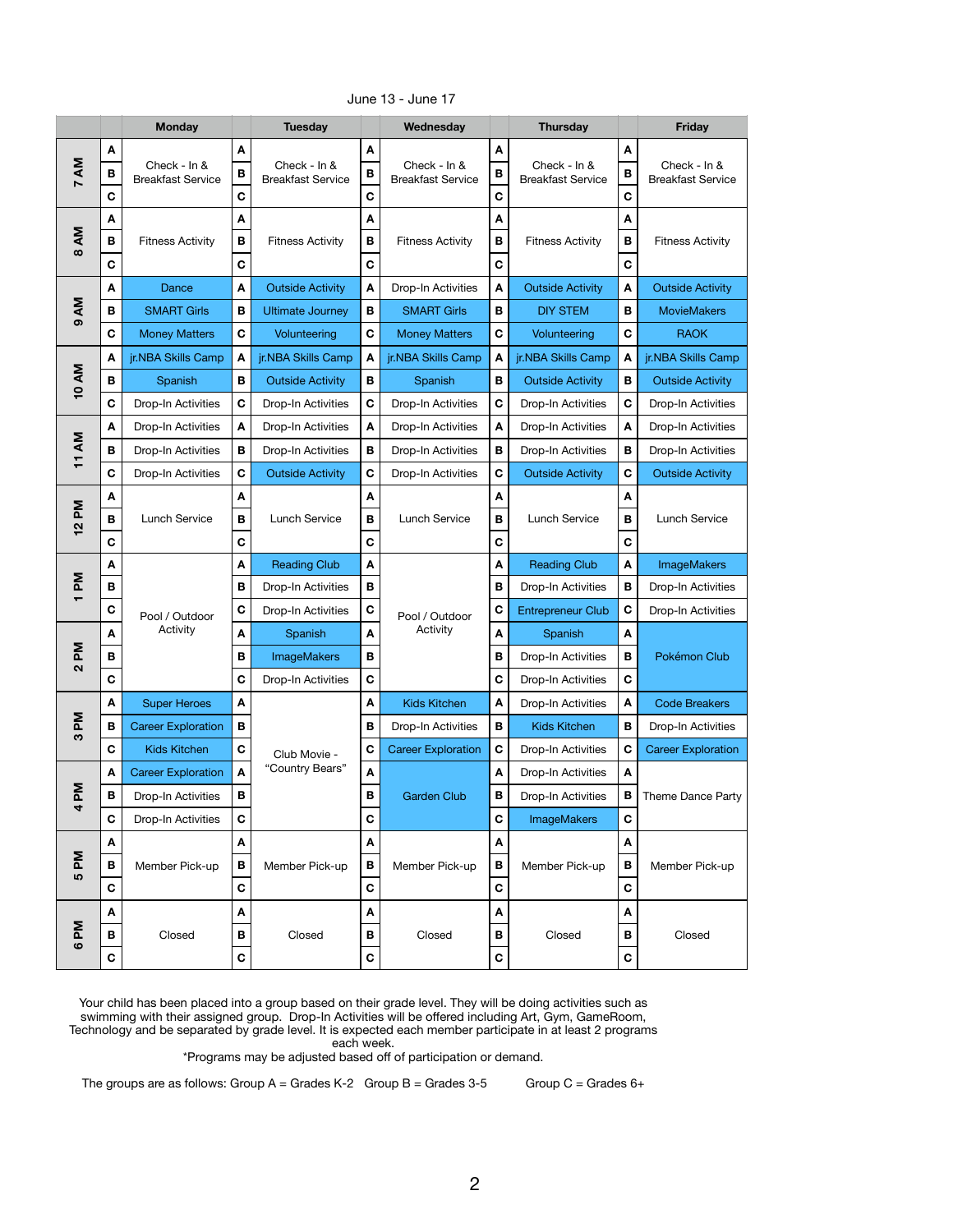|                                       |                       | <b>Monday</b>                            |                       | <b>Tuesday</b>                                |                       | Wednesday                                |                       | <b>Thursday</b>                          |                                  | <b>Friday</b>                            |
|---------------------------------------|-----------------------|------------------------------------------|-----------------------|-----------------------------------------------|-----------------------|------------------------------------------|-----------------------|------------------------------------------|----------------------------------|------------------------------------------|
| 7 AM                                  | A<br>B<br>$\mathbf C$ | Check - In &<br><b>Breakfast Service</b> | A<br>B<br>$\mathbf C$ | Check - In &<br><b>Breakfast Service</b>      | A<br>B<br>$\mathbf c$ | Check - In &<br><b>Breakfast Service</b> | A<br>B<br>$\mathbf c$ | Check - In &<br><b>Breakfast Service</b> | A<br>B<br>$\mathbf c$            | Check - In &<br><b>Breakfast Service</b> |
| 8 AM                                  | Α<br>B<br>$\mathbf C$ | <b>Fitness Activity</b>                  | A<br>B<br>$\mathbf c$ | <b>Fitness Activity</b>                       | A<br>B<br>$\mathbf c$ | <b>Fitness Activity</b>                  | A<br>B<br>$\mathbf C$ | <b>Fitness Activity</b>                  | A<br>$\, {\bf B}$<br>$\mathbf C$ | <b>Fitness Activity</b>                  |
|                                       | A                     | Dance                                    | A                     | <b>Outside Activity</b>                       | A                     | Drop-In Activities                       | $\boldsymbol{A}$      | <b>Outside Activity</b>                  | A                                | <b>Outside Activity</b>                  |
| ΔM                                    | в                     | <b>SMART Girls</b>                       | В                     | <b>Ultimate Journey</b>                       | B                     | <b>SMART Girls</b>                       | B                     | <b>DIY STEM</b>                          | В                                | <b>MovieMakers</b>                       |
| ၜ                                     | $\mathbf c$           | <b>Money Matters</b>                     | $\mathbf c$           | Volunteering                                  | $\mathbf c$           | <b>Money Matters</b>                     | $\mathbf C$           | Volunteering                             | $\mathbf c$                      | <b>RAOK</b>                              |
|                                       | A                     | jr.NBA Skills Camp                       | $\boldsymbol{A}$      | jr.NBA Skills Camp                            | $\boldsymbol{A}$      | jr.NBA Skills Camp                       | A                     | jr.NBA Skills Camp                       | A                                | jr.NBA Skills Camp                       |
| <b>10 AM</b>                          | B                     | Spanish                                  | B                     | <b>Outside Activity</b>                       | B                     | Spanish                                  | $\, {\bf B}$          | <b>Outside Activity</b>                  | B                                | <b>Outside Activity</b>                  |
|                                       | $\mathbf C$           | Drop-In Activities                       | $\mathbf C$           | Drop-In Activities                            | $\mathbf C$           | Drop-In Activities                       | $\mathbf C$           | Drop-In Activities                       | $\mathbf C$                      | Drop-In Activities                       |
|                                       | A                     | Drop-In Activities                       | A                     | Drop-In Activities                            | A                     | Drop-In Activities                       | $\boldsymbol{A}$      | Drop-In Activities                       | A                                | Drop-In Activities                       |
| 11 AM                                 | B                     | Drop-In Activities                       | B                     | Drop-In Activities<br><b>Outside Activity</b> | B                     | Drop-In Activities                       | B                     | Drop-In Activities                       | $\, {\bf B}$                     | Drop-In Activities                       |
|                                       | C                     | Drop-In Activities                       | C                     |                                               | C                     | Drop-In Activities                       | $\mathbf C$           | <b>Outside Activity</b>                  | C                                | <b>Outside Activity</b>                  |
| ΣĀ<br>$\boldsymbol{\mathsf{N}}$       | A<br>B<br>$\mathbf C$ | Lunch Service                            | A<br>B<br>$\mathbf C$ | Lunch Service                                 | A<br>B<br>$\mathbf C$ | Lunch Service                            | A<br>B<br>$\mathbf c$ | <b>Lunch Service</b>                     | A<br>B<br>$\mathbf C$            | <b>Lunch Service</b>                     |
|                                       | A                     |                                          | A                     | <b>Reading Club</b>                           | A                     |                                          | A                     | <b>Reading Club</b>                      | A                                | <b>ImageMakers</b>                       |
| Μd<br>$\overline{\phantom{0}}$        | B                     | Pool / Outdoor<br>Activity               | В                     | Drop-In Activities                            | В                     |                                          | B                     | Drop-In Activities                       | B                                | Drop-In Activities                       |
|                                       | $\mathbf c$           |                                          | $\mathbf c$           | Drop-In Activities                            | $\mathbf C$           | Pool / Outdoor                           | $\mathbf C$           | <b>Entrepreneur Club</b>                 | $\mathbf C$                      | Drop-In Activities                       |
|                                       | A                     |                                          | A                     | Spanish                                       | A                     | Activity                                 | $\boldsymbol{A}$      | Spanish                                  | A                                |                                          |
| Md<br>$\mathbf{\Omega}$               | B                     |                                          | B                     | <b>ImageMakers</b>                            | B                     |                                          | B                     | Drop-In Activities                       | B                                | Pokémon Club                             |
|                                       | $\mathbf c$           |                                          | $\mathbf c$           | Drop-In Activities                            | $\mathbf c$           |                                          | $\mathbf C$           | Drop-In Activities                       | $\mathbf C$                      |                                          |
|                                       | A                     | <b>Super Heroes</b>                      | A                     |                                               | A                     | Kids Kitchen                             | A                     | Drop-In Activities                       | A                                | <b>Code Breakers</b>                     |
| $\mathbf{M}$<br>S                     | B                     | <b>Career Exploration</b>                | В                     |                                               | $\, {\bf B}$          | Drop-In Activities                       | $\, {\bf B}$          | <b>Kids Kitchen</b>                      | B                                | Drop-In Activities                       |
|                                       | $\mathbf c$           | Kids Kitchen                             | C                     | Club Movie -                                  | $\mathbf C$           | <b>Career Exploration</b>                | $\mathbf C$           | Drop-In Activities                       | $\mathbf C$                      | <b>Career Exploration</b>                |
|                                       | A                     | <b>Career Exploration</b>                | $\boldsymbol{A}$      | "Country Bears"                               | A                     |                                          | A                     | Drop-In Activities                       | A                                |                                          |
| Μd<br>4                               | B                     | Drop-In Activities                       | В                     |                                               | В                     | <b>Garden Club</b>                       | B                     | Drop-In Activities                       | B                                | Theme Dance Party                        |
|                                       | $\mathbf C$           | Drop-In Activities                       | $\mathbf c$           |                                               | $\mathbf C$           |                                          | $\mathbf c$           | <b>ImageMakers</b>                       | $\mathbf C$                      |                                          |
|                                       | A                     |                                          | A                     |                                               | A                     |                                          | A                     |                                          | A                                |                                          |
| Md<br>10                              | B                     | Member Pick-up                           | B                     | Member Pick-up                                | $\mathbf B$           | Member Pick-up                           | $\mathbf B$           | Member Pick-up                           | $\, {\bf B}$                     | Member Pick-up                           |
|                                       | $\mathbf C$           |                                          | $\mathbf c$           |                                               | $\mathbf C$           |                                          | $\mathbf c$           |                                          | $\mathbf C$                      |                                          |
|                                       | A                     |                                          | A                     |                                               | A                     |                                          | A                     |                                          | A                                |                                          |
| $\mathbf{M}$<br>$\boldsymbol{\omega}$ | B                     | Closed                                   | В                     | Closed                                        | B                     | Closed                                   | $\, {\bf B}$          | Closed                                   | В                                | Closed                                   |
|                                       | $\mathbf C$           |                                          | C                     |                                               | $\mathbf C$           |                                          | $\mathbf C$           |                                          | $\mathbf C$                      |                                          |

June 13 - June 17

\*Programs may be adjusted based off of participation or demand.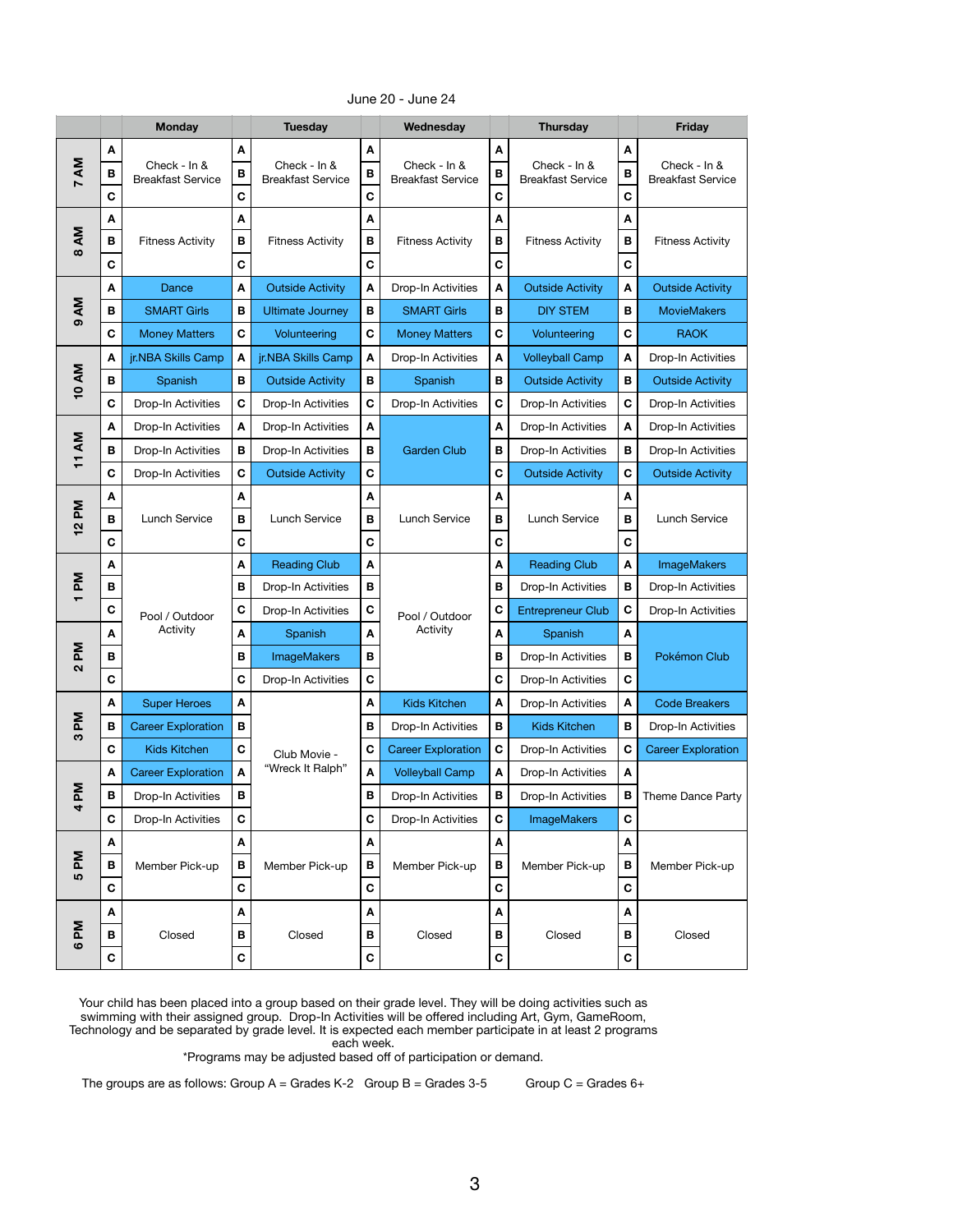|                                        |                                  | <b>Monday</b>                            |                       | <b>Tuesday</b>                           |                       | Wednesday                                |                       | <b>Thursday</b>                          |                                 | <b>Friday</b>                            |
|----------------------------------------|----------------------------------|------------------------------------------|-----------------------|------------------------------------------|-----------------------|------------------------------------------|-----------------------|------------------------------------------|---------------------------------|------------------------------------------|
| 7 AM                                   | A<br>B<br>$\mathbf C$            | Check - In &<br><b>Breakfast Service</b> | A<br>B<br>$\mathbf C$ | Check - In &<br><b>Breakfast Service</b> | A<br>B<br>$\mathbf C$ | Check - In &<br><b>Breakfast Service</b> | A<br>B<br>$\mathbf c$ | Check - In &<br><b>Breakfast Service</b> | A<br>B<br>$\mathbf c$           | Check - In &<br><b>Breakfast Service</b> |
| AM<br>$\infty$                         | A<br>$\, {\bf B}$<br>$\mathbf C$ | <b>Fitness Activity</b>                  | A<br>В<br>$\mathbf C$ | <b>Fitness Activity</b>                  | A<br>B<br>$\mathbf c$ | <b>Fitness Activity</b>                  | A<br>B<br>$\mathbf C$ | <b>Fitness Activity</b>                  | A<br>$\mathbf B$<br>$\mathbf C$ | <b>Fitness Activity</b>                  |
|                                        | A                                | Dance                                    | A                     | <b>Outside Activity</b>                  | A                     | Drop-In Activities                       | A                     | <b>Outside Activity</b>                  | A                               | <b>Outside Activity</b>                  |
| AM                                     | B                                | <b>SMART Girls</b>                       | В                     | <b>Ultimate Journey</b>                  | В                     | <b>SMART Girls</b>                       | B                     | <b>DIY STEM</b>                          | B                               | <b>MovieMakers</b>                       |
| $\sigma$                               | $\mathbf c$                      | <b>Money Matters</b>                     | $\mathbf c$           | Volunteering                             | C                     | <b>Money Matters</b>                     | $\mathbf C$           | Volunteering                             | $\mathbf c$                     | <b>RAOK</b>                              |
|                                        | A                                | jr.NBA Skills Camp                       | A                     | jr.NBA Skills Camp                       | $\boldsymbol{A}$      | Drop-In Activities                       | A                     | <b>Volleyball Camp</b>                   | $\mathbf{A}$                    | Drop-In Activities                       |
| <b>10 AM</b>                           | B                                | Spanish                                  | В                     | <b>Outside Activity</b>                  | В                     | Spanish                                  | B                     | <b>Outside Activity</b>                  | $\mathbf B$                     | <b>Outside Activity</b>                  |
|                                        | $\mathbf C$                      | Drop-In Activities                       | C                     | Drop-In Activities                       | C                     | Drop-In Activities                       | C                     | Drop-In Activities                       | $\mathbf C$                     | Drop-In Activities                       |
|                                        | A                                | Drop-In Activities                       | A                     | Drop-In Activities                       | A                     |                                          | A                     | Drop-In Activities                       | A                               | <b>Drop-In Activities</b>                |
| 11 AM                                  | $\, {\bf B}$                     | Drop-In Activities                       | B                     | Drop-In Activities                       | В                     | <b>Garden Club</b>                       | B                     | Drop-In Activities                       | $\mathbf B$                     | Drop-In Activities                       |
|                                        | C                                | Drop-In Activities                       | C                     | <b>Outside Activity</b>                  | C                     |                                          | $\mathbf C$           | <b>Outside Activity</b>                  | $\mathbf c$                     | <b>Outside Activity</b>                  |
| Md<br>$\mathbf{\Omega}$<br>$\mathbf -$ | A<br>B<br>$\mathbf C$            | <b>Lunch Service</b>                     | A<br>В<br>C           | Lunch Service                            | A<br>B<br>$\mathbf c$ | Lunch Service                            | A<br>B<br>$\mathbf C$ | <b>Lunch Service</b>                     | A<br>B<br>$\mathbf C$           | <b>Lunch Service</b>                     |
|                                        | A                                |                                          | A                     | <b>Reading Club</b>                      | A                     |                                          | A                     | <b>Reading Club</b>                      | A                               | <b>ImageMakers</b>                       |
| <b>Nd</b>                              | B                                | Pool / Outdoor<br>Activity               | В                     | Drop-In Activities                       | В                     |                                          | B                     | Drop-In Activities                       | B                               | Drop-In Activities                       |
| $\mathbf -$                            | $\mathbf c$                      |                                          | $\mathbf C$           | Drop-In Activities                       | C                     | Pool / Outdoor                           | $\mathbf C$           | <b>Entrepreneur Club</b>                 | $\mathbf C$                     | Drop-In Activities                       |
|                                        | A                                |                                          | A                     | Spanish                                  | A                     | Activity                                 | A                     | Spanish                                  | A                               |                                          |
| Md<br>$\mathbf{\Omega}$                | B                                |                                          | В                     | <b>ImageMakers</b>                       | В                     |                                          | B                     | Drop-In Activities                       | B                               | Pokémon Club                             |
|                                        | $\mathbf C$                      |                                          | $\mathbf C$           | Drop-In Activities                       | C                     |                                          | $\mathbf C$           | Drop-In Activities                       | $\mathbf C$                     |                                          |
|                                        | A                                | <b>Super Heroes</b>                      | A                     |                                          | A                     | <b>Kids Kitchen</b>                      | A                     | Drop-In Activities                       | $\boldsymbol{A}$                | <b>Code Breakers</b>                     |
| Μd<br>က                                | $\, {\bf B}$                     | <b>Career Exploration</b>                | B                     |                                          | B                     | Drop-In Activities                       | B                     | <b>Kids Kitchen</b>                      | B                               | Drop-In Activities                       |
|                                        | $\mathbf C$                      | <b>Kids Kitchen</b>                      | $\mathbf C$           | Club Movie -                             | $\mathbf C$           | <b>Career Exploration</b>                | $\mathbf C$           | Drop-In Activities                       | $\mathbf C$                     | <b>Career Exploration</b>                |
|                                        | A                                | <b>Career Exploration</b>                | $\mathbf{A}$          | "Wreck It Ralph"                         | A                     | <b>Volleyball Camp</b>                   | A                     | Drop-In Activities                       | A                               |                                          |
| Md<br>4                                | B                                | Drop-In Activities                       | B                     |                                          | B                     | Drop-In Activities                       | В                     | Drop-In Activities                       | B                               | Theme Dance Party                        |
|                                        | $\mathbf C$                      | Drop-In Activities                       | $\mathbf C$           |                                          | $\mathbf C$           | Drop-In Activities                       | C                     | <b>ImageMakers</b>                       | $\mathbf c$                     |                                          |
|                                        | A                                |                                          | A                     |                                          | A                     |                                          | A                     |                                          | A                               |                                          |
| Md<br><b>5</b>                         | $\, {\bf B}$                     | Member Pick-up                           | B                     | Member Pick-up                           | B                     | Member Pick-up                           | B                     | Member Pick-up                           | $\mathbf B$                     | Member Pick-up                           |
|                                        | $\mathbf C$                      |                                          | $\mathbf c$           |                                          | $\mathbf c$           |                                          | $\mathbf C$           |                                          | $\mathbf c$                     |                                          |
|                                        | A                                |                                          | A                     |                                          | A                     |                                          | A                     |                                          | A                               |                                          |
| $\mathbf{M}$<br>$\boldsymbol{\omega}$  | B                                | Closed                                   | В                     | Closed                                   | В                     | Closed                                   | B                     | Closed                                   | B                               | Closed                                   |
|                                        | $\mathbf c$                      |                                          | C                     |                                          | C                     |                                          | $\mathbf C$           | $\mathbf C$                              |                                 |                                          |

June 20 - June 24

\*Programs may be adjusted based off of participation or demand.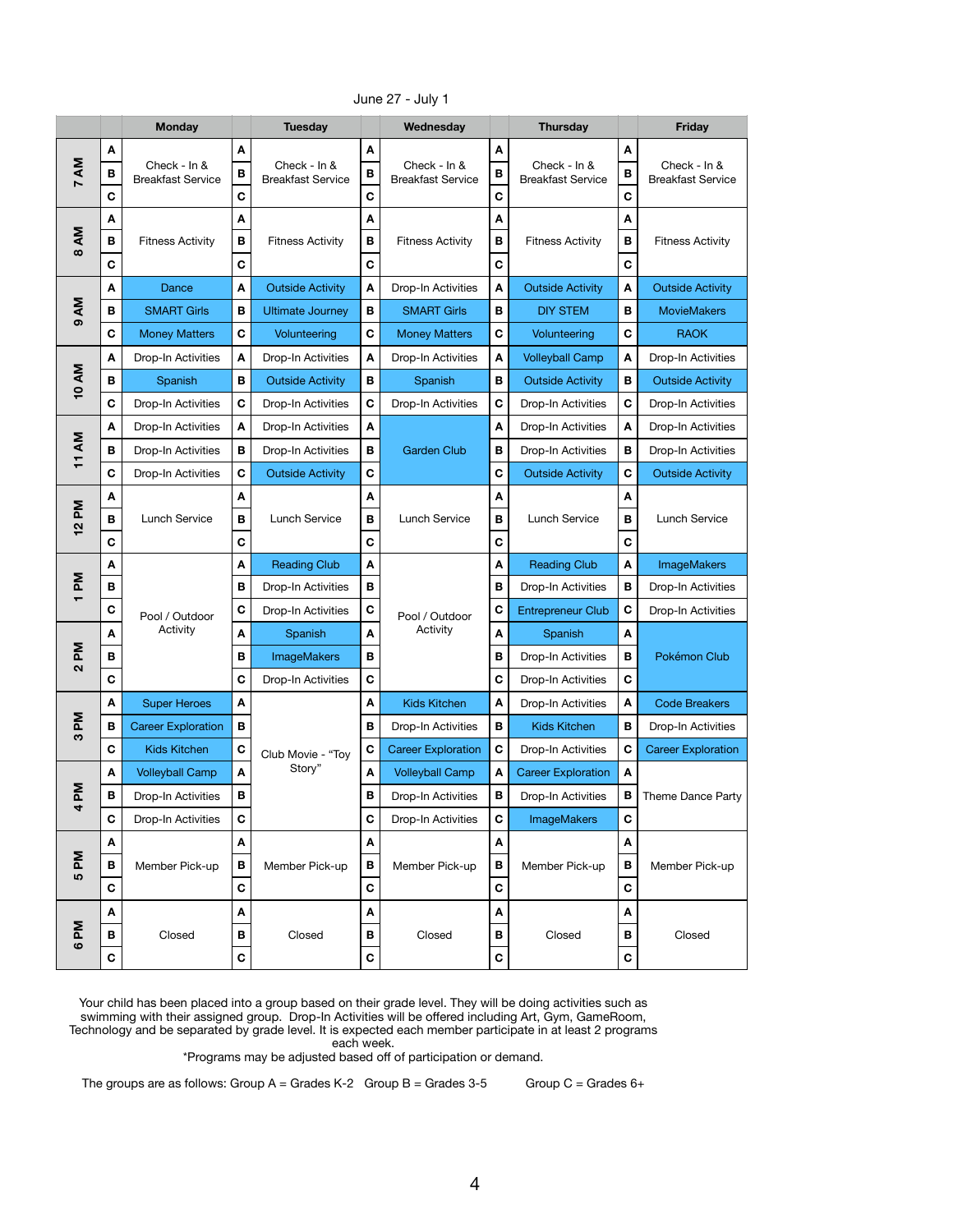|                             |                        | <b>Monday</b>                            |                       | <b>Tuesday</b>                           |                                  | Wednesday                                |                                 | <b>Thursday</b>                          |                                  | <b>Friday</b>                            |
|-----------------------------|------------------------|------------------------------------------|-----------------------|------------------------------------------|----------------------------------|------------------------------------------|---------------------------------|------------------------------------------|----------------------------------|------------------------------------------|
| 7 AM                        | A<br>В<br>$\mathbf C$  | Check - In &<br><b>Breakfast Service</b> | A<br>B<br>$\mathbf C$ | Check - In &<br><b>Breakfast Service</b> | A<br>B<br>$\mathbf C$            | Check - In &<br><b>Breakfast Service</b> | A<br>B<br>$\mathbf C$           | Check - In &<br><b>Breakfast Service</b> | A<br>B<br>$\mathbf C$            | Check - In &<br><b>Breakfast Service</b> |
| ΔM<br>$\infty$              | A<br>$\, {\bf B}$<br>C | <b>Fitness Activity</b>                  | A<br>B<br>$\mathbf c$ | <b>Fitness Activity</b>                  | A<br>B<br>$\mathbf c$            | <b>Fitness Activity</b>                  | A<br>$\mathbf B$<br>$\mathbf c$ | <b>Fitness Activity</b>                  | A<br>$\, {\bf B}$<br>$\mathbf C$ | <b>Fitness Activity</b>                  |
|                             | A                      | Dance                                    | A                     | <b>Outside Activity</b>                  | A                                | Drop-In Activities                       | $\boldsymbol{A}$                | <b>Outside Activity</b>                  | A                                | <b>Outside Activity</b>                  |
| ΔM                          | B                      | <b>SMART Girls</b>                       | B                     | <b>Ultimate Journey</b>                  | B                                | <b>SMART Girls</b>                       | B                               | <b>DIY STEM</b>                          | В                                | <b>MovieMakers</b>                       |
| $\sigma$                    | $\mathbf C$            | <b>Money Matters</b>                     | $\mathbf c$           | Volunteering                             | $\mathbf c$                      | <b>Money Matters</b>                     | $\mathbf C$                     | Volunteering                             | $\mathbf c$                      | <b>RAOK</b>                              |
|                             | A                      | Drop-In Activities                       | A                     | Drop-In Activities                       | A                                | Drop-In Activities                       | A                               | <b>Volleyball Camp</b>                   | A                                | Drop-In Activities                       |
| <b>10 AM</b>                | $\, {\bf B}$           | Spanish                                  | B                     | <b>Outside Activity</b>                  | B                                | Spanish                                  | $\, {\bf B}$                    | <b>Outside Activity</b>                  | B                                | <b>Outside Activity</b>                  |
|                             | $\mathbf c$            | Drop-In Activities                       | $\mathbf C$           | Drop-In Activities                       | $\mathbf C$                      | Drop-In Activities                       | $\mathbf C$                     | Drop-In Activities                       | $\mathbf C$                      | Drop-In Activities                       |
|                             | A                      | Drop-In Activities                       | A                     | Drop-In Activities                       | A                                |                                          | A                               | Drop-In Activities                       | A                                | Drop-In Activities                       |
| 11 AM                       | B                      | Drop-In Activities                       | B                     | Drop-In Activities                       | В                                | <b>Garden Club</b>                       | B                               | Drop-In Activities                       | $\, {\bf B}$                     | Drop-In Activities                       |
|                             | $\mathbf C$            | Drop-In Activities                       | C                     | <b>Outside Activity</b>                  | $\mathbf C$                      |                                          | $\mathbf C$                     | <b>Outside Activity</b>                  | C                                | <b>Outside Activity</b>                  |
| Md<br>$\mathbf{\Omega}$     | A<br>B<br>$\mathbf C$  | Lunch Service                            | A<br>B<br>$\mathbf C$ | Lunch Service                            | A<br>$\, {\bf B}$<br>$\mathbf c$ | Lunch Service                            | A<br>B<br>$\mathbf c$           | <b>Lunch Service</b>                     | A<br>B<br>$\mathbf C$            | <b>Lunch Service</b>                     |
|                             | A                      |                                          | A                     | <b>Reading Club</b>                      | A                                |                                          | A                               | <b>Reading Club</b>                      | A                                | <b>ImageMakers</b>                       |
| Μd                          | В                      | Pool / Outdoor<br>Activity               | В                     | Drop-In Activities                       | В                                |                                          | B                               | Drop-In Activities                       | B                                | Drop-In Activities                       |
|                             | $\mathbf C$            |                                          | $\mathbf C$           | Drop-In Activities                       | $\mathbf C$                      | Pool / Outdoor                           | $\mathbf C$                     | <b>Entrepreneur Club</b>                 | $\mathbf C$                      | Drop-In Activities                       |
|                             | A                      |                                          | A                     | Spanish                                  | A                                | Activity                                 | $\blacktriangle$                | Spanish                                  | A                                |                                          |
| Md<br>$\mathbf{\Omega}$     | B                      |                                          | B                     | <b>ImageMakers</b>                       | B                                |                                          | $\mathbf B$                     | Drop-In Activities                       | В                                | Pokémon Club                             |
|                             | $\mathbf C$            |                                          | $\mathbf C$           | Drop-In Activities                       | $\mathbf C$                      |                                          | $\mathbf c$                     | Drop-In Activities                       | C                                |                                          |
|                             | A                      | <b>Super Heroes</b>                      | A                     |                                          | A                                | Kids Kitchen                             | $\boldsymbol{A}$                | Drop-In Activities                       | A                                | <b>Code Breakers</b>                     |
| Μd<br>S                     | B                      | <b>Career Exploration</b>                | В                     |                                          | $\mathbf B$                      | Drop-In Activities                       | $\mathbf B$                     | <b>Kids Kitchen</b>                      | B                                | Drop-In Activities                       |
|                             | $\mathbf c$            | Kids Kitchen                             | $\mathbf C$           | Club Movie - "Toy                        | $\mathbf C$                      | <b>Career Exploration</b>                | $\mathbf C$                     | Drop-In Activities                       | $\mathbf C$                      | <b>Career Exploration</b>                |
|                             | A                      | <b>Volleyball Camp</b>                   | A                     | Story"                                   | $\boldsymbol{\mathsf{A}}$        | <b>Volleyball Camp</b>                   | A                               | <b>Career Exploration</b>                | A                                |                                          |
| Μd<br>4                     | В                      | Drop-In Activities                       | В                     |                                          | B                                | Drop-In Activities                       | $\, {\bf B}$                    | Drop-In Activities                       | В                                | Theme Dance Party                        |
|                             | $\mathbf C$            | Drop-In Activities                       | $\mathbf C$           |                                          | $\mathbf C$                      | Drop-In Activities                       | $\mathbf C$                     | <b>ImageMakers</b>                       | $\mathbf C$                      |                                          |
|                             | A                      |                                          | A                     |                                          | A                                |                                          | A                               |                                          | A                                |                                          |
| Μd<br>LO                    | B                      | Member Pick-up                           | B                     | Member Pick-up                           | $\mathbf B$                      | Member Pick-up                           | B                               | Member Pick-up                           | $\, {\bf B}$                     | Member Pick-up                           |
|                             | $\mathbf C$            |                                          | $\mathbf c$           |                                          | $\mathbf C$                      |                                          | $\mathbf c$                     |                                          | $\mathbf c$                      |                                          |
|                             | A                      |                                          | A                     |                                          | A                                |                                          | A                               |                                          | A                                |                                          |
| ΣĀ<br>$\boldsymbol{\omega}$ | В                      | Closed                                   | В                     | Closed                                   | B                                | Closed                                   | B                               | Closed                                   | B                                | Closed                                   |
|                             | $\mathbf c$            |                                          | $\mathbf c$           |                                          | $\mathbf C$                      |                                          | $\mathbf C$                     |                                          | $\mathbf C$                      |                                          |

June 27 - July 1

\*Programs may be adjusted based off of participation or demand.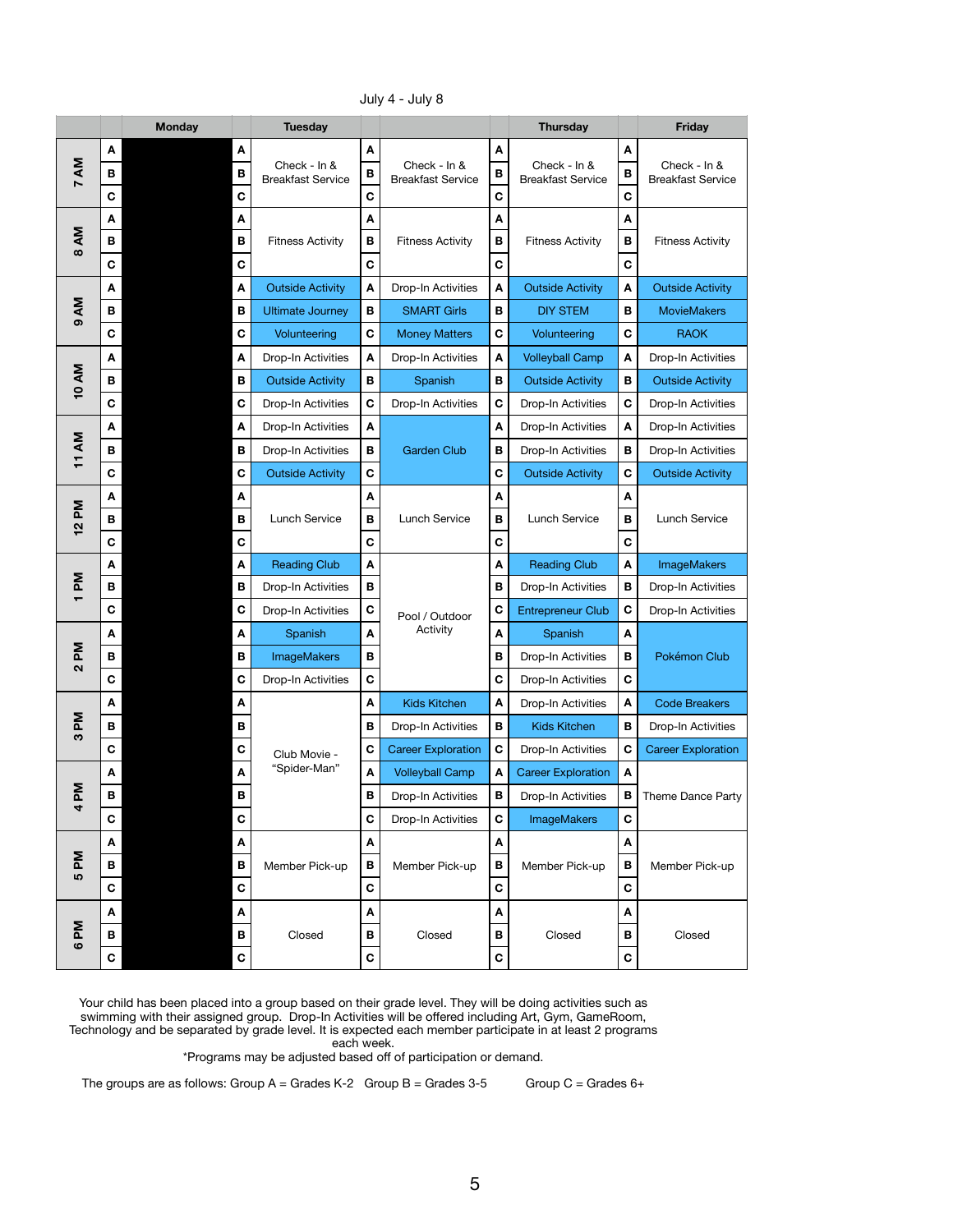|                                   |                  | <b>Monday</b>             | <b>Tuesday</b>                           |                           |                                          |                           | <b>Thursday</b>                          |                           | <b>Friday</b>                            |
|-----------------------------------|------------------|---------------------------|------------------------------------------|---------------------------|------------------------------------------|---------------------------|------------------------------------------|---------------------------|------------------------------------------|
|                                   | A                | $\boldsymbol{A}$          |                                          | $\boldsymbol{A}$          |                                          | $\boldsymbol{\mathsf{A}}$ |                                          | $\boldsymbol{A}$          |                                          |
| 7 AM                              | B                | B                         | Check - In &<br><b>Breakfast Service</b> | B                         | Check - In &<br><b>Breakfast Service</b> | $\, {\bf B}$              | Check - In &<br><b>Breakfast Service</b> | B                         | Check - In &<br><b>Breakfast Service</b> |
|                                   | $\mathbf c$      | $\mathbf C$               |                                          | $\mathbf C$               |                                          | $\mathbf C$               |                                          | $\mathbf C$               |                                          |
|                                   | A                | A                         |                                          | $\boldsymbol{\mathsf{A}}$ |                                          | $\boldsymbol{\mathsf{A}}$ |                                          | A                         |                                          |
| ΔM<br>$\infty$                    | B                | B                         | <b>Fitness Activity</b>                  | $\, {\bf B}$              | <b>Fitness Activity</b>                  | $\, {\bf B}$              | <b>Fitness Activity</b>                  | $\, {\bf B}$              | <b>Fitness Activity</b>                  |
|                                   | $\mathbf c$      | $\mathbf C$               |                                          | $\mathbf C$               |                                          | $\mathbf C$               |                                          | $\mathbf C$               |                                          |
|                                   | $\boldsymbol{A}$ | A                         | <b>Outside Activity</b>                  | $\boldsymbol{\mathsf{A}}$ | Drop-In Activities                       | $\mathbf{A}$              | <b>Outside Activity</b>                  | $\boldsymbol{\mathsf{A}}$ | <b>Outside Activity</b>                  |
| ΔM<br>$\sigma$                    | B                | $\, {\bf B}$              | <b>Ultimate Journey</b>                  | B                         | <b>SMART Girls</b>                       | B                         | <b>DIY STEM</b>                          | $\mathbf B$               | <b>MovieMakers</b>                       |
|                                   | $\mathbf C$      | $\mathbf C$               | Volunteering                             | $\mathbf C$               | <b>Money Matters</b>                     | $\mathbf C$               | Volunteering                             | $\mathbf C$               | <b>RAOK</b>                              |
|                                   | $\boldsymbol{A}$ | A                         | Drop-In Activities                       | A                         | Drop-In Activities                       | $\mathbf{A}$              | <b>Volleyball Camp</b>                   | $\boldsymbol{\mathsf{A}}$ | Drop-In Activities                       |
| <b>10 AM</b>                      | B                | $\, {\bf B}$              | <b>Outside Activity</b>                  | B                         | Spanish                                  | $\mathsf B$               | <b>Outside Activity</b>                  | B                         | <b>Outside Activity</b>                  |
|                                   | $\mathbf C$      | C                         | Drop-In Activities                       | $\mathbf C$               | Drop-In Activities                       | $\mathbf C$               | Drop-In Activities                       | $\mathbf C$               | Drop-In Activities                       |
|                                   | A                | $\boldsymbol{\mathsf{A}}$ | Drop-In Activities                       | $\pmb{\mathsf{A}}$        |                                          | $\boldsymbol{\mathsf{A}}$ | Drop-In Activities                       | $\pmb{\mathsf{A}}$        | Drop-In Activities                       |
| 11 AM                             | B                | $\mathbf B$               | Drop-In Activities                       | B                         | <b>Garden Club</b>                       | $\, {\bf B}$              | Drop-In Activities                       | B                         | Drop-In Activities                       |
|                                   | $\mathbf C$      | C                         | <b>Outside Activity</b>                  | $\mathbf c$               |                                          | $\mathbf C$               | <b>Outside Activity</b>                  | C                         | <b>Outside Activity</b>                  |
| 12 PM                             | A                | A                         |                                          | A                         |                                          | A                         |                                          | A                         |                                          |
|                                   | B                | $\mathbf B$               | Lunch Service                            | $\, {\bf B}$              | Lunch Service                            | $\, {\bf B}$              | Lunch Service                            | $\, {\bf B}$              | Lunch Service                            |
|                                   | $\mathbf c$      | $\mathbf C$               |                                          | $\mathbf c$               |                                          | $\mathbf C$               |                                          | $\mathbf C$               |                                          |
|                                   | A                | A                         | <b>Reading Club</b>                      | A                         |                                          | A                         | <b>Reading Club</b>                      | A                         | <b>ImageMakers</b>                       |
| $\mathsf{M}$                      | В                | B                         | Drop-In Activities                       | B                         |                                          | $\, {\bf B}$              | Drop-In Activities                       | $\, {\bf B}$              | Drop-In Activities                       |
|                                   | $\mathbf C$      | $\mathbf C$               | Drop-In Activities                       | $\mathbf C$               | Pool / Outdoor                           | $\mathbf C$               | <b>Entrepreneur Club</b>                 | $\mathbf{C}$              | Drop-In Activities                       |
|                                   | $\boldsymbol{A}$ | A                         | Spanish                                  | $\boldsymbol{A}$          | Activity                                 | $\mathbf{A}$              | Spanish                                  | $\boldsymbol{\mathsf{A}}$ |                                          |
| $\mathsf{M}$<br>$\mathbf{\Omega}$ | B                | $\mathbf B$               | <b>ImageMakers</b>                       | В                         |                                          | $\, {\bf B}$              | Drop-In Activities                       | B                         | Pokémon Club                             |
|                                   | $\mathbf C$      | $\mathbf C$               | Drop-In Activities                       | $\mathbf c$               |                                          | $\mathbf C$               | Drop-In Activities                       | $\mathbf C$               |                                          |
|                                   | A                | A                         |                                          | $\boldsymbol{\mathsf{A}}$ | <b>Kids Kitchen</b>                      | $\blacktriangle$          | Drop-In Activities                       | $\pmb{\mathsf{A}}$        | <b>Code Breakers</b>                     |
| Md<br>က                           | B                | B                         |                                          | B                         | Drop-In Activities                       | $\, {\bf B}$              | <b>Kids Kitchen</b>                      | $\, {\bf B} \,$           | Drop-In Activities                       |
|                                   | $\mathbf c$      | $\mathbf C$               | Club Movie -                             | $\mathbf C$               | <b>Career Exploration</b>                | $\mathbf C$               | Drop-In Activities                       | $\mathbf C$               | <b>Career Exploration</b>                |
|                                   | A                | A                         | "Spider-Man"                             | A                         | <b>Volleyball Camp</b>                   | A                         | <b>Career Exploration</b>                | A                         |                                          |
| $\mathbf{M}$<br>$\overline{a}$    | $\mathbf B$      | B                         |                                          | $\mathbf B$               | Drop-In Activities                       | $\, {\bf B}$              | Drop-In Activities                       | $\, {\bf B}$              | Theme Dance Party                        |
|                                   | $\mathbf c$      | $\mathbf C$               |                                          | $\mathbf c$               | Drop-In Activities                       | $\mathbf C$               | <b>ImageMakers</b>                       | $\mathbf c$               |                                          |
|                                   | A                | $\boldsymbol{A}$          |                                          | $\boldsymbol{A}$          |                                          | A                         |                                          | $\boldsymbol{A}$          |                                          |
| Md<br>LO                          | B                | B                         | Member Pick-up                           | $\, {\bf B}$              | Member Pick-up                           | $\, {\bf B}$              | Member Pick-up                           | $\, {\bf B}$              | Member Pick-up                           |
|                                   | $\mathbf C$      | $\mathbf C$               |                                          | $\mathbf C$               |                                          | $\mathbf C$               |                                          | $\mathbf C$               |                                          |
|                                   | A                | $\boldsymbol{A}$          |                                          | A                         |                                          | A                         |                                          | A                         |                                          |
| $\mathsf{M}$<br>$\bullet$         | B                | B                         | Closed                                   | B                         | Closed                                   | $\, {\bf B}$              | Closed                                   | B                         | Closed                                   |
|                                   | $\mathbf c$      | $\mathbf C$               |                                          | $\mathbf C$               |                                          | $\mathbf C$               |                                          | $\mathbf C$               |                                          |

July 4 - July 8

\*Programs may be adjusted based off of participation or demand.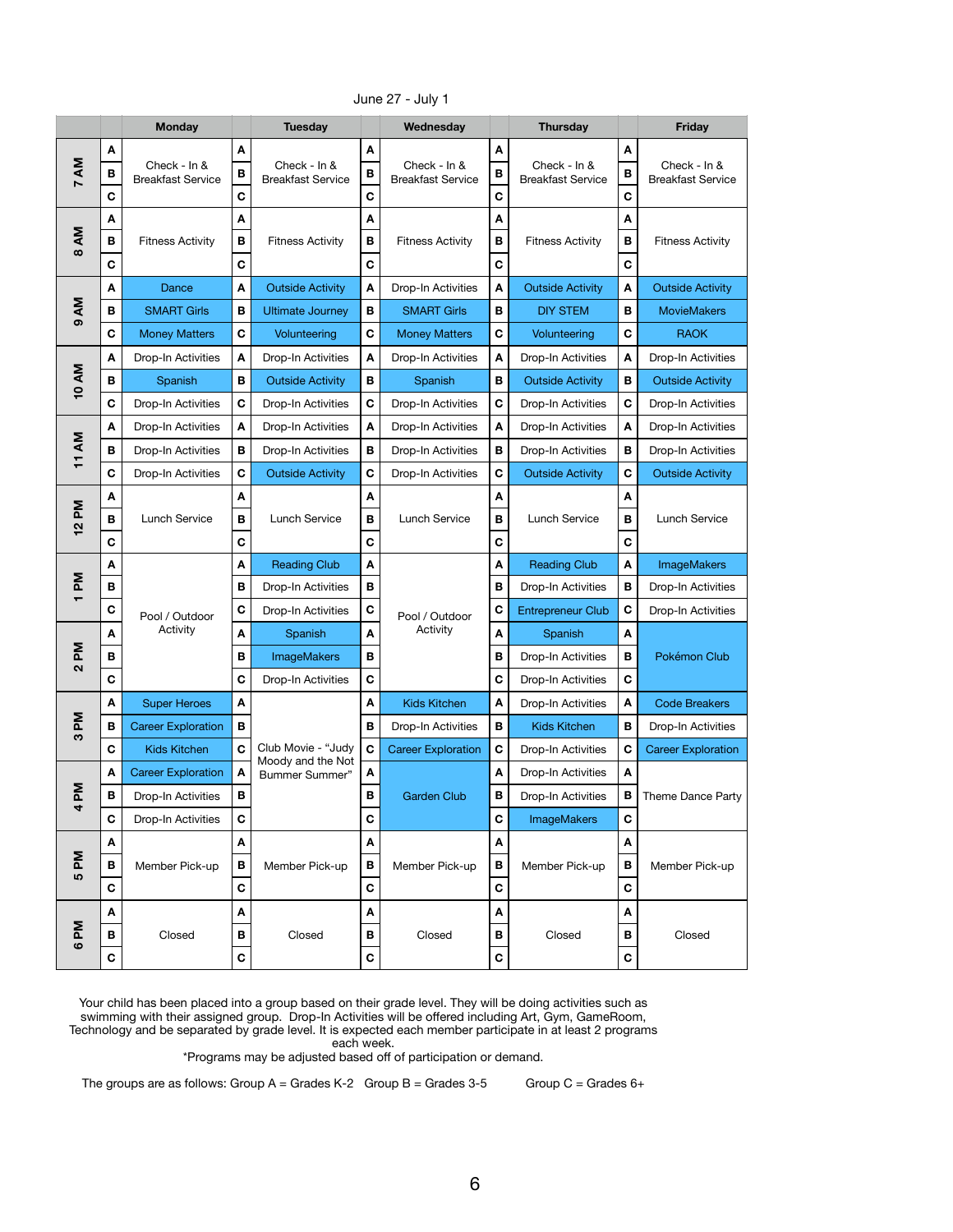|                         |              | <b>Monday</b>             |                  | <b>Tuesday</b>                                |                  | Wednesday                 |                  | <b>Thursday</b>           |                  | <b>Friday</b>             |
|-------------------------|--------------|---------------------------|------------------|-----------------------------------------------|------------------|---------------------------|------------------|---------------------------|------------------|---------------------------|
| 7 AM                    | A<br>В       | Check - In &              | A                | Check - In &                                  | A                | Check - In &              | A                | Check - In &              | A                | Check - In &              |
|                         | $\mathbf C$  | <b>Breakfast Service</b>  | B<br>$\mathbf c$ | <b>Breakfast Service</b>                      | B<br>$\mathbf c$ | <b>Breakfast Service</b>  | B<br>$\mathbf c$ | <b>Breakfast Service</b>  | B<br>$\mathbf c$ | <b>Breakfast Service</b>  |
|                         | A            |                           | A                |                                               | A                |                           | A                |                           | A                |                           |
| ΔM                      | B            | <b>Fitness Activity</b>   | $\mathbf B$      | <b>Fitness Activity</b>                       | $\mathbf B$      | <b>Fitness Activity</b>   | $\, {\bf B}$     | <b>Fitness Activity</b>   | $\, {\bf B}$     | <b>Fitness Activity</b>   |
| $\infty$                | $\mathbf c$  |                           | $\mathbf C$      |                                               | $\mathbf C$      |                           | $\mathbf C$      |                           | $\mathbf C$      |                           |
|                         | A            | Dance                     | A                | <b>Outside Activity</b>                       | A                | Drop-In Activities        | A                | <b>Outside Activity</b>   | A                | <b>Outside Activity</b>   |
| <b>AM</b><br>$\sigma$   | В            | <b>SMART Girls</b>        | B                | <b>Ultimate Journey</b>                       | B                | <b>SMART Girls</b>        | В                | <b>DIY STEM</b>           | В                | <b>MovieMakers</b>        |
|                         | $\mathbf C$  | <b>Money Matters</b>      | $\mathbf c$      | Volunteering                                  | $\mathbf C$      | <b>Money Matters</b>      | $\mathbf c$      | Volunteering              | $\mathbf c$      | <b>RAOK</b>               |
|                         | A            | Drop-In Activities        | A                | Drop-In Activities                            | A                | Drop-In Activities        | A                | Drop-In Activities        | A                | Drop-In Activities        |
| <b>10 AM</b>            | B            | Spanish                   | В                | <b>Outside Activity</b>                       | $\mathbf B$      | Spanish                   | В                | <b>Outside Activity</b>   | В                | <b>Outside Activity</b>   |
|                         | $\mathbf C$  | Drop-In Activities        | $\mathbf C$      | Drop-In Activities                            | $\mathbf C$      | Drop-In Activities        | C                | Drop-In Activities        | $\mathbf C$      | Drop-In Activities        |
|                         | A            | Drop-In Activities        | A                | Drop-In Activities                            | A                | Drop-In Activities        | A                | <b>Drop-In Activities</b> | A                | Drop-In Activities        |
| ΔM<br>$\overline{1}$    | B            | Drop-In Activities        | $\mathbf B$      | Drop-In Activities<br><b>Outside Activity</b> | $\mathbf B$      | Drop-In Activities        | $\, {\bf B}$     | Drop-In Activities        | B                | Drop-In Activities        |
|                         | $\mathbf C$  | Drop-In Activities        | $\mathbf C$      |                                               | C                | Drop-In Activities        | C                | <b>Outside Activity</b>   | С                | <b>Outside Activity</b>   |
|                         | A            |                           | A                |                                               | A                |                           | A                |                           | A                |                           |
| Md<br>$\mathbf{\Omega}$ | В            | Lunch Service             | B                | Lunch Service                                 | B                | <b>Lunch Service</b>      | В                | <b>Lunch Service</b>      | В                | Lunch Service             |
|                         | $\mathbf c$  |                           | $\mathbf C$      |                                               | $\mathbf c$      |                           | $\mathbf C$      |                           | $\mathbf C$      |                           |
|                         | A            |                           | A                | <b>Reading Club</b>                           | A                |                           | A                | <b>Reading Club</b>       | A                | <b>ImageMakers</b>        |
| Μd<br>$\mathbf -$       | В            |                           | B                | Drop-In Activities                            | B                |                           | B                | Drop-In Activities        | B                | <b>Drop-In Activities</b> |
|                         | $\mathbf C$  | Pool / Outdoor            | $\mathbf C$      | Drop-In Activities                            | $\mathbf C$      | Pool / Outdoor            | $\mathbf C$      | <b>Entrepreneur Club</b>  | C                | Drop-In Activities        |
|                         | A            | Activity                  | $\boldsymbol{A}$ | Spanish                                       | A                | Activity                  | A                | Spanish                   | A                |                           |
| Md<br>$\mathbf{\Omega}$ | B            |                           | B                | <b>ImageMakers</b>                            | B                |                           | $\, {\bf B}$     | Drop-In Activities        | В                | Pokémon Club              |
|                         | $\mathbf c$  |                           | $\mathbf C$      | Drop-In Activities                            | $\mathbf C$      |                           | $\mathbf c$      | Drop-In Activities        | $\mathbf C$      |                           |
|                         | A            | <b>Super Heroes</b>       | A                |                                               | A                | <b>Kids Kitchen</b>       | A                | Drop-In Activities        | A                | <b>Code Breakers</b>      |
| ΣĀ<br>က                 | $\, {\bf B}$ | <b>Career Exploration</b> | B                |                                               | $\mathbf B$      | Drop-In Activities        | $\, {\bf B}$     | <b>Kids Kitchen</b>       | B                | Drop-In Activities        |
|                         | $\mathbf c$  | <b>Kids Kitchen</b>       | $\mathbf C$      | Club Movie - "Judy<br>Moody and the Not       | $\mathbf C$      | <b>Career Exploration</b> | $\mathbf C$      | Drop-In Activities        | $\mathbf C$      | <b>Career Exploration</b> |
|                         | A            | <b>Career Exploration</b> | A                | Bummer Summer"                                | A                |                           | A                | Drop-In Activities        | A                |                           |
| Μd<br>4                 | В            | Drop-In Activities        | B                |                                               | B                | <b>Garden Club</b>        | В                | Drop-In Activities        | В                | Theme Dance Party         |
|                         | $\mathbf C$  | Drop-In Activities        | $\mathbf C$      |                                               | $\mathbf C$      |                           | $\mathbf C$      | <b>ImageMakers</b>        | $\mathbf C$      |                           |
|                         | A            |                           | A                |                                               | A                |                           | A                |                           | A                |                           |
| Md<br>5                 | B            | Member Pick-up            | $\mathbf B$      | Member Pick-up                                | $\mathbf B$      | Member Pick-up            | $\mathbf B$      | Member Pick-up            | $\, {\bf B}$     | Member Pick-up            |
|                         | $\mathbf C$  |                           | $\mathbf C$      |                                               | $\mathbf c$      |                           | $\mathbf C$      |                           | $\mathbf c$      |                           |
|                         | A            |                           | A                |                                               | A                |                           | A                |                           | A                |                           |
| ΣĀ<br>$\circ$           | B            | Closed                    | B                | Closed                                        | B                | Closed                    | B                | Closed                    | B                | Closed                    |
|                         | $\mathbf C$  |                           | $\mathbf C$      | $\mathbf c$                                   |                  | $\mathbf C$               | $\mathbf C$      |                           |                  |                           |

June 27 - July 1

\*Programs may be adjusted based off of participation or demand.